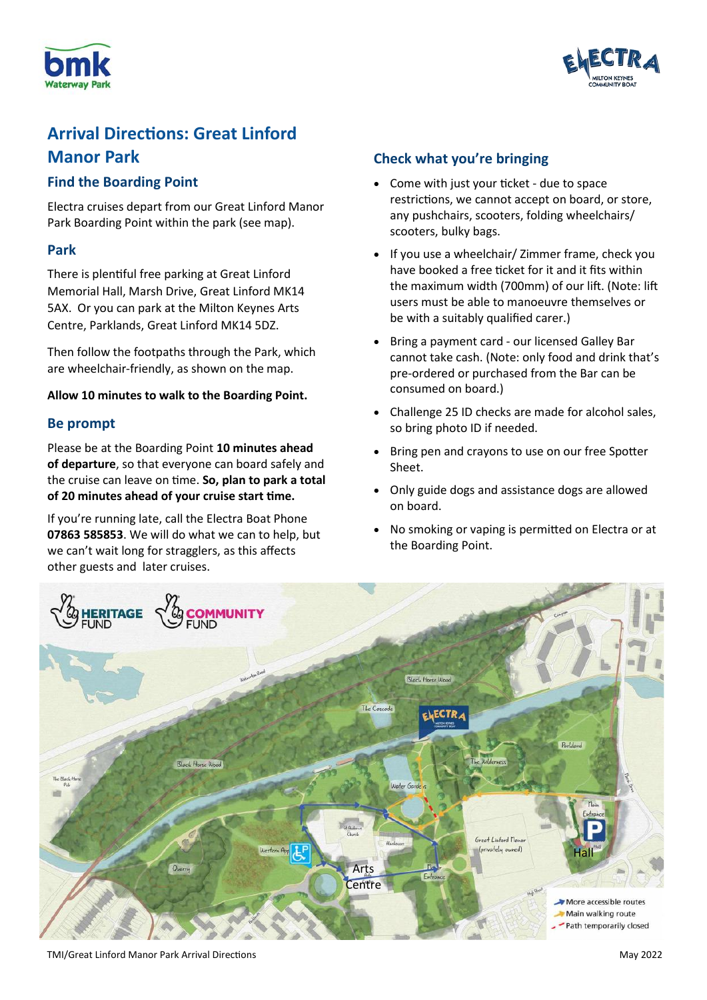



# **Arrival Directions: Great Linford Manor Park**

# **Find the Boarding Point**

Electra cruises depart from our Great Linford Manor Park Boarding Point within the park (see map).

# **Park**

There is plentiful free parking at Great Linford Memorial Hall, Marsh Drive, Great Linford MK14 5AX. Or you can park at the Milton Keynes Arts Centre, Parklands, Great Linford MK14 5DZ.

Then follow the footpaths through the Park, which are wheelchair-friendly, as shown on the map.

#### **Allow 10 minutes to walk to the Boarding Point.**

# **Be prompt**

Please be at the Boarding Point **10 minutes ahead of departure**, so that everyone can board safely and the cruise can leave on time. **So, plan to park a total of 20 minutes ahead of your cruise start time.** 

If you're running late, call the Electra Boat Phone **07863 585853**. We will do what we can to help, but we can't wait long for stragglers, as this affects other guests and later cruises.

# **Check what you're bringing**

- Come with just your ticket due to space restrictions, we cannot accept on board, or store, any pushchairs, scooters, folding wheelchairs/ scooters, bulky bags.
- If you use a wheelchair/ Zimmer frame, check you have booked a free ticket for it and it fits within the maximum width (700mm) of our lift. (Note: lift users must be able to manoeuvre themselves or be with a suitably qualified carer.)
- Bring a payment card our licensed Galley Bar cannot take cash. (Note: only food and drink that's pre-ordered or purchased from the Bar can be consumed on board.)
- Challenge 25 ID checks are made for alcohol sales, so bring photo ID if needed.
- Bring pen and crayons to use on our free Spotter Sheet.
- Only guide dogs and assistance dogs are allowed on board.
- No smoking or vaping is permitted on Electra or at the Boarding Point.



TMI/Great Linford Manor Park Arrival Directions May 2022 **May 2022**